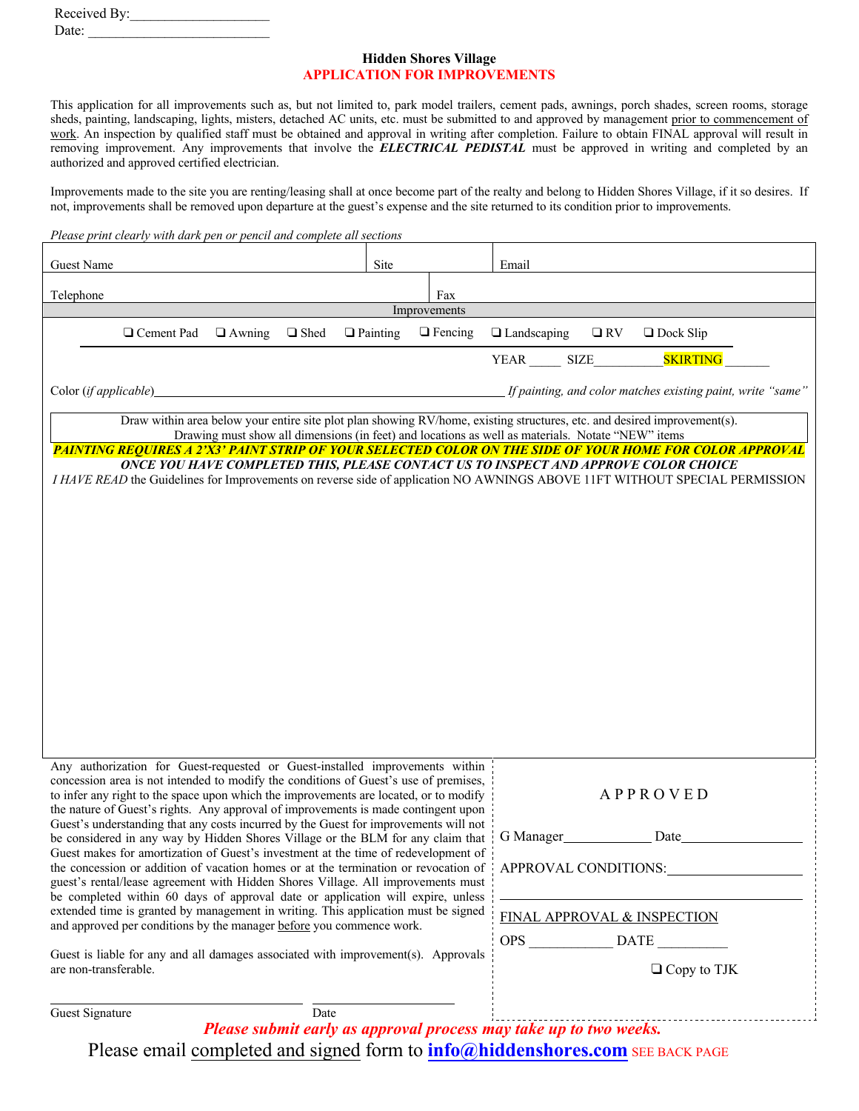| Received By: |  |  |
|--------------|--|--|
| Date:        |  |  |

# **Hidden Shores Village APPLICATION FOR IMPROVEMENTS**

This application for all improvements such as, but not limited to, park model trailers, cement pads, awnings, porch shades, screen rooms, storage sheds, painting, landscaping, lights, misters, detached AC units, etc. must be submitted to and approved by management prior to commencement of work. An inspection by qualified staff must be obtained and approval in writing after completion. Failure to obtain FINAL approval will result in removing improvement. Any improvements that involve the *ELECTRICAL PEDISTAL* must be approved in writing and completed by an authorized and approved certified electrician.

Improvements made to the site you are renting/leasing shall at once become part of the realty and belong to Hidden Shores Village, if it so desires. If not, improvements shall be removed upon departure at the guest's expense and the site returned to its condition prior to improvements.

|                                                                                                                                                                                                                    | Please print clearly with dark pen or pencil and complete all sections                                                                                                                                                                                                               |                                                                                   |             |                 |                                                            |                                                                   |                             |                                                                                                          |  |  |
|--------------------------------------------------------------------------------------------------------------------------------------------------------------------------------------------------------------------|--------------------------------------------------------------------------------------------------------------------------------------------------------------------------------------------------------------------------------------------------------------------------------------|-----------------------------------------------------------------------------------|-------------|-----------------|------------------------------------------------------------|-------------------------------------------------------------------|-----------------------------|----------------------------------------------------------------------------------------------------------|--|--|
| Guest Name                                                                                                                                                                                                         |                                                                                                                                                                                                                                                                                      |                                                                                   |             | Site            |                                                            | Email                                                             |                             |                                                                                                          |  |  |
| Telephone                                                                                                                                                                                                          |                                                                                                                                                                                                                                                                                      |                                                                                   |             |                 | Fax                                                        |                                                                   |                             |                                                                                                          |  |  |
|                                                                                                                                                                                                                    |                                                                                                                                                                                                                                                                                      |                                                                                   |             |                 | Improvements                                               |                                                                   |                             |                                                                                                          |  |  |
|                                                                                                                                                                                                                    | □ Cement Pad                                                                                                                                                                                                                                                                         | $\Box$ Awning                                                                     | $\Box$ Shed | $\Box$ Painting | $\Box$ Fencing                                             | $\Box$ Landscaping                                                | $\square$ RV                | $\Box$ Dock Slip                                                                                         |  |  |
|                                                                                                                                                                                                                    |                                                                                                                                                                                                                                                                                      |                                                                                   |             |                 |                                                            | YEAR SIZE                                                         |                             | <b>SKIRTING</b>                                                                                          |  |  |
| Color (if applicable)                                                                                                                                                                                              |                                                                                                                                                                                                                                                                                      |                                                                                   |             |                 |                                                            |                                                                   |                             | If painting, and color matches existing paint, write "same"                                              |  |  |
|                                                                                                                                                                                                                    | Draw within area below your entire site plot plan showing RV/home, existing structures, etc. and desired improvement(s).<br>Drawing must show all dimensions (in feet) and locations as well as materials. Notate "NEW" items                                                        |                                                                                   |             |                 |                                                            |                                                                   |                             |                                                                                                          |  |  |
|                                                                                                                                                                                                                    |                                                                                                                                                                                                                                                                                      |                                                                                   |             |                 |                                                            |                                                                   |                             | PAINTING REQUIRES A 2'X3' PAINT STRIP OF YOUR SELECTED COLOR ON THE SIDE OF YOUR HOME FOR COLOR APPROVAL |  |  |
| ONCE YOU HAVE COMPLETED THIS, PLEASE CONTACT US TO INSPECT AND APPROVE COLOR CHOICE<br>I HAVE READ the Guidelines for Improvements on reverse side of application NO AWNINGS ABOVE 11FT WITHOUT SPECIAL PERMISSION |                                                                                                                                                                                                                                                                                      |                                                                                   |             |                 |                                                            |                                                                   |                             |                                                                                                          |  |  |
|                                                                                                                                                                                                                    |                                                                                                                                                                                                                                                                                      |                                                                                   |             |                 |                                                            |                                                                   |                             |                                                                                                          |  |  |
|                                                                                                                                                                                                                    |                                                                                                                                                                                                                                                                                      |                                                                                   |             |                 |                                                            |                                                                   |                             |                                                                                                          |  |  |
|                                                                                                                                                                                                                    |                                                                                                                                                                                                                                                                                      |                                                                                   |             |                 |                                                            |                                                                   |                             |                                                                                                          |  |  |
|                                                                                                                                                                                                                    |                                                                                                                                                                                                                                                                                      |                                                                                   |             |                 |                                                            |                                                                   |                             |                                                                                                          |  |  |
|                                                                                                                                                                                                                    |                                                                                                                                                                                                                                                                                      |                                                                                   |             |                 |                                                            |                                                                   |                             |                                                                                                          |  |  |
|                                                                                                                                                                                                                    |                                                                                                                                                                                                                                                                                      |                                                                                   |             |                 |                                                            |                                                                   |                             |                                                                                                          |  |  |
|                                                                                                                                                                                                                    |                                                                                                                                                                                                                                                                                      |                                                                                   |             |                 |                                                            |                                                                   |                             |                                                                                                          |  |  |
|                                                                                                                                                                                                                    |                                                                                                                                                                                                                                                                                      |                                                                                   |             |                 |                                                            |                                                                   |                             |                                                                                                          |  |  |
|                                                                                                                                                                                                                    |                                                                                                                                                                                                                                                                                      |                                                                                   |             |                 |                                                            |                                                                   |                             |                                                                                                          |  |  |
|                                                                                                                                                                                                                    | Any authorization for Guest-requested or Guest-installed improvements within                                                                                                                                                                                                         |                                                                                   |             |                 |                                                            |                                                                   |                             |                                                                                                          |  |  |
|                                                                                                                                                                                                                    | concession area is not intended to modify the conditions of Guest's use of premises,<br>to infer any right to the space upon which the improvements are located, or to modify<br>the nature of Guest's rights. Any approval of improvements is made contingent upon                  |                                                                                   |             |                 |                                                            |                                                                   |                             | <b>APPROVED</b>                                                                                          |  |  |
|                                                                                                                                                                                                                    | Guest's understanding that any costs incurred by the Guest for improvements will not                                                                                                                                                                                                 |                                                                                   |             |                 |                                                            | G Manager                                                         |                             | Date                                                                                                     |  |  |
|                                                                                                                                                                                                                    | be considered in any way by Hidden Shores Village or the BLM for any claim that<br>Guest makes for amortization of Guest's investment at the time of redevelopment of<br>the concession or addition of vacation homes or at the termination or revocation of<br>APPROVAL CONDITIONS: |                                                                                   |             |                 |                                                            |                                                                   |                             |                                                                                                          |  |  |
| guest's rental/lease agreement with Hidden Shores Village. All improvements must<br>be completed within 60 days of approval date or application will expire, unless                                                |                                                                                                                                                                                                                                                                                      |                                                                                   |             |                 |                                                            |                                                                   |                             |                                                                                                          |  |  |
| extended time is granted by management in writing. This application must be signed<br>and approved per conditions by the manager before you commence work.                                                         |                                                                                                                                                                                                                                                                                      |                                                                                   |             |                 |                                                            |                                                                   | FINAL APPROVAL & INSPECTION |                                                                                                          |  |  |
|                                                                                                                                                                                                                    |                                                                                                                                                                                                                                                                                      | Guest is liable for any and all damages associated with improvement(s). Approvals |             |                 |                                                            |                                                                   |                             | OPS DATE                                                                                                 |  |  |
| are non-transferable.                                                                                                                                                                                              |                                                                                                                                                                                                                                                                                      |                                                                                   |             |                 |                                                            |                                                                   |                             | $\Box$ Copy to TJK                                                                                       |  |  |
| Guest Signature                                                                                                                                                                                                    |                                                                                                                                                                                                                                                                                      |                                                                                   | Date        |                 |                                                            |                                                                   |                             |                                                                                                          |  |  |
|                                                                                                                                                                                                                    |                                                                                                                                                                                                                                                                                      |                                                                                   |             |                 | $\mathbf{c}$ $\sim$ $\mathbf{r}$ $\mathbf{r}$ $\mathbf{r}$ | Please submit early as approval process may take up to two weeks. |                             |                                                                                                          |  |  |

Please email completed and signed form to **info@hiddenshores.com** SEE BACK PAGE